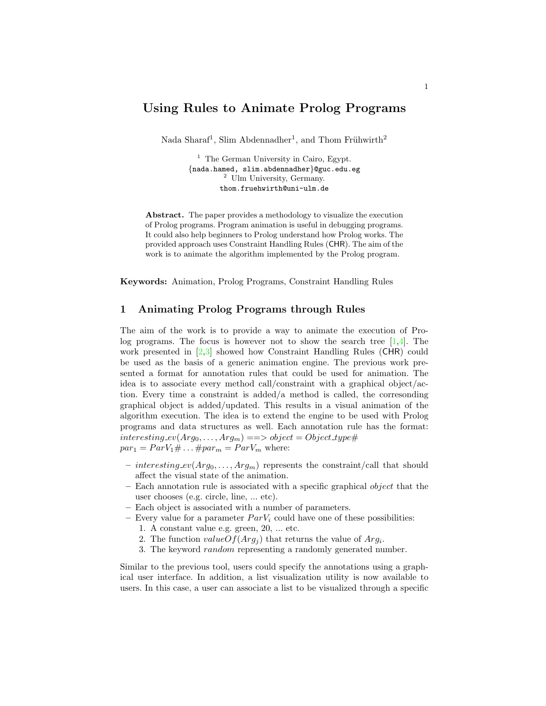# Using Rules to Animate Prolog Programs

Nada Sharaf<sup>1</sup>, Slim Abdennadher<sup>1</sup>, and Thom Frühwirth<sup>2</sup>

 $<sup>1</sup>$  The German University in Cairo, Egypt.</sup> {nada.hamed, slim.abdennadher}@guc.edu.eg <sup>2</sup> Ulm University, Germany. thom.fruehwirth@uni-ulm.de

Abstract. The paper provides a methodology to visualize the execution of Prolog programs. Program animation is useful in debugging programs. It could also help beginners to Prolog understand how Prolog works. The provided approach uses Constraint Handling Rules (CHR). The aim of the work is to animate the algorithm implemented by the Prolog program.

Keywords: Animation, Prolog Programs, Constraint Handling Rules

#### 1 Animating Prolog Programs through Rules

The aim of the work is to provide a way to animate the execution of Prolog programs. The focus is however not to show the search tree  $[1,4]$  $[1,4]$ . The work presented in  $[2,3]$  $[2,3]$  showed how Constraint Handling Rules (CHR) could be used as the basis of a generic animation engine. The previous work presented a format for annotation rules that could be used for animation. The idea is to associate every method call/constraint with a graphical object/action. Every time a constraint is added/a method is called, the corresonding graphical object is added/updated. This results in a visual animation of the algorithm execution. The idea is to extend the engine to be used with Prolog programs and data structures as well. Each annotation rule has the format:  $interesting\_ev(Arg_0, \ldots, Arg_m) \implies object = Object\_type \#$  $par_1 = ParV_1 \# \dots \#par_m = ParV_m$  where:

- interesting  $ev(Arg_0, \ldots, Arg_m)$  represents the constraint/call that should affect the visual state of the animation.
- $-$  Each annotation rule is associated with a specific graphical *object* that the user chooses (e.g. circle, line, ... etc).
- Each object is associated with a number of parameters.
- Every value for a parameter  $ParV_i$  could have one of these possibilities:
	- 1. A constant value e.g. green, 20, ... etc.
	- 2. The function  $valueOf(Arg_j)$  that returns the value of  $Arg_i$ .
	- 3. The keyword random representing a randomly generated number.

Similar to the previous tool, users could specify the annotations using a graphical user interface. In addition, a list visualization utility is now available to users. In this case, a user can associate a list to be visualized through a specific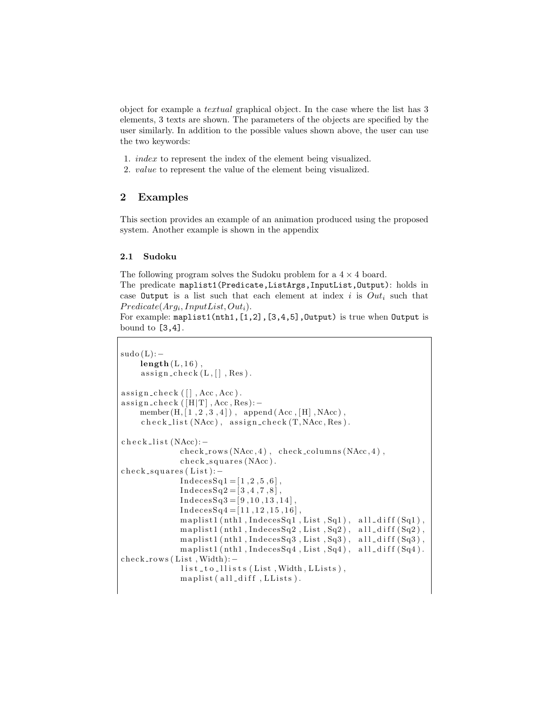object for example a textual graphical object. In the case where the list has 3 elements, 3 texts are shown. The parameters of the objects are specified by the user similarly. In addition to the possible values shown above, the user can use the two keywords:

- 1. index to represent the index of the element being visualized.
- 2. value to represent the value of the element being visualized.

### 2 Examples

This section provides an example of an animation produced using the proposed system. Another example is shown in the appendix

#### 2.1 Sudoku

The following program solves the Sudoku problem for a  $4 \times 4$  board.

The predicate maplist1(Predicate,ListArgs,InputList,Output): holds in case Output is a list such that each element at index i is  $Out_i$  such that  $PredictedArg_i, InputList, Out_i).$ 

For example: maplist1(nth1, [1,2], [3,4,5], Output) is true when Output is bound to [3,4].

```
sudo(L):−
     length(L, 16),
     \text{assign\_check}(L, [], Res).
assign\_check([] , Acc, Acc).
\text{assign\_check([H|T], Acc, Res)}: −
     member (H, [1, 2, 3, 4]), append (Acc, [H], NAcc),
     \text{check-list}(\text{NAcc}), \text{assign\_check}(\text{T}, \text{NAcc}, \text{Res}).
c h e c k _l i s t (NAcc):−
               check_{ro} (NAcc, 4), check columns (NAcc, 4),
               check\_squares(NAcc).
check_s-squares (List):-Indeed 1 = [1, 2, 5, 6],\text{IndecesSq2} = [3, 4, 7, 8],Indeed 3=[9,10,13,14]\text{Indecess} \text{Sq4} = [11, 12, 15, 16],maplist1(nth1, IndecesSq1, List, Sq1), all-diff(Sq1),maplist1(nth1, IndecesSq2, List, Sq2), all\_diff(Sq2),maplist1(nth1, IndecesSq3, List, Sq3), all-diff(Sq3),maplist1(nth1, IndecesSq4, List, Sq4), all_diff(Sq4).check_rrows (List, Width):-list\_to\_llists (List, Width, LLists),
               m a plist ( all_diff , LLists ).
```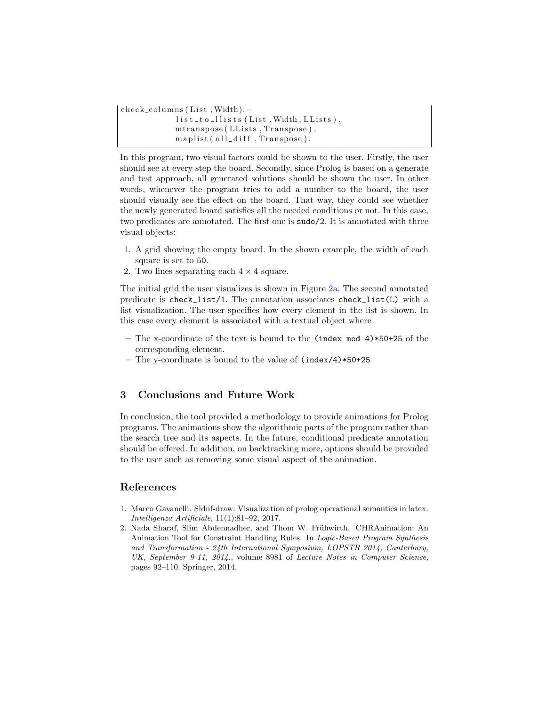```
check_columns (List, Width): -
            list_to_llists(List, Width, LLists),mtranspose (LLists, Transpose),
            maplist (all_diff, Transpose).
```
In this program, two visual factors could be shown to the user. Firstly, the user should see at every step the board. Secondly, since Prolog is based on a generate and test approach, all generated solutions should be shown the user. In other words, whenever the program tries to add a number to the board, the user should visually see the effect on the board. That way, they could see whether the newly generated board satisfies all the needed conditions or not. In this case, two predicates are annotated. The first one is sudo/2. It is annotated with three visual objects:

- 1. A grid showing the empty board. In the shown example, the width of each square is set to 50.
- 2. Two lines separating each  $4 \times 4$  square.

The initial grid the user visualizes is shown in Figure [2a.](#page-5-0) The second annotated predicate is check\_list/1. The annotation associates check\_list(L) with a list visualization. The user specifies how every element in the list is shown. In this case every element is associated with a textual object where

- The x-coordinate of the text is bound to the (index mod  $4)*50+25$  of the corresponding element.
- The y-coordinate is bound to the value of (index/4)\*50+25

### 3 Conclusions and Future Work

In conclusion, the tool provided a methodology to provide animations for Prolog programs. The animations show the algorithmic parts of the program rather than the search tree and its aspects. In the future, conditional predicate annotation should be offered. In addition, on backtracking more, options should be provided to the user such as removing some visual aspect of the animation.

### References

- <span id="page-2-0"></span>1. Marco Gavanelli. Sldnf-draw: Visualization of prolog operational semantics in latex. Intelligenza Artificiale, 11(1):81–92, 2017.
- <span id="page-2-1"></span>2. Nada Sharaf, Slim Abdennadher, and Thom W. Frühwirth. CHRAnimation: An Animation Tool for Constraint Handling Rules. In Logic-Based Program Synthesis and Transformation - 24th International Symposium, LOPSTR 2014, Canterbury, UK, September 9-11, 2014., volume 8981 of Lecture Notes in Computer Science, pages 92–110. Springer, 2014.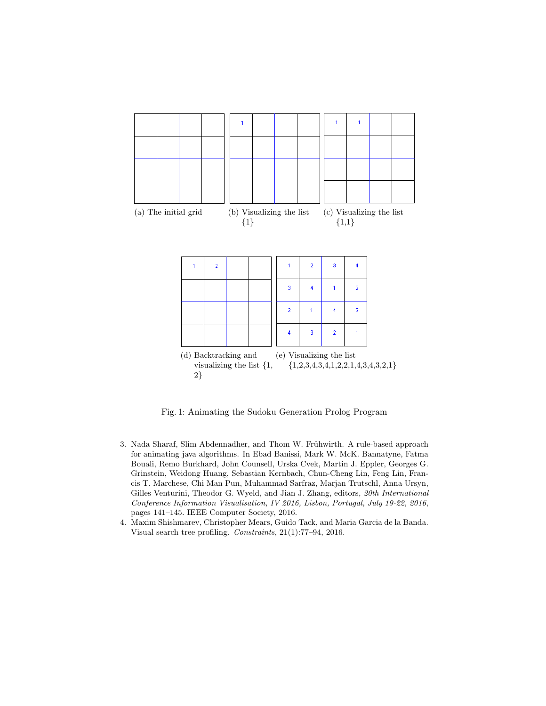

Fig. 1: Animating the Sudoku Generation Prolog Program

- <span id="page-3-1"></span>3. Nada Sharaf, Slim Abdennadher, and Thom W. Frühwirth. A rule-based approach for animating java algorithms. In Ebad Banissi, Mark W. McK. Bannatyne, Fatma Bouali, Remo Burkhard, John Counsell, Urska Cvek, Martin J. Eppler, Georges G. Grinstein, Weidong Huang, Sebastian Kernbach, Chun-Cheng Lin, Feng Lin, Francis T. Marchese, Chi Man Pun, Muhammad Sarfraz, Marjan Trutschl, Anna Ursyn, Gilles Venturini, Theodor G. Wyeld, and Jian J. Zhang, editors, 20th International Conference Information Visualisation, IV 2016, Lisbon, Portugal, July 19-22, 2016, pages 141–145. IEEE Computer Society, 2016.
- <span id="page-3-0"></span>4. Maxim Shishmarev, Christopher Mears, Guido Tack, and Maria Garcia de la Banda. Visual search tree profiling. Constraints, 21(1):77–94, 2016.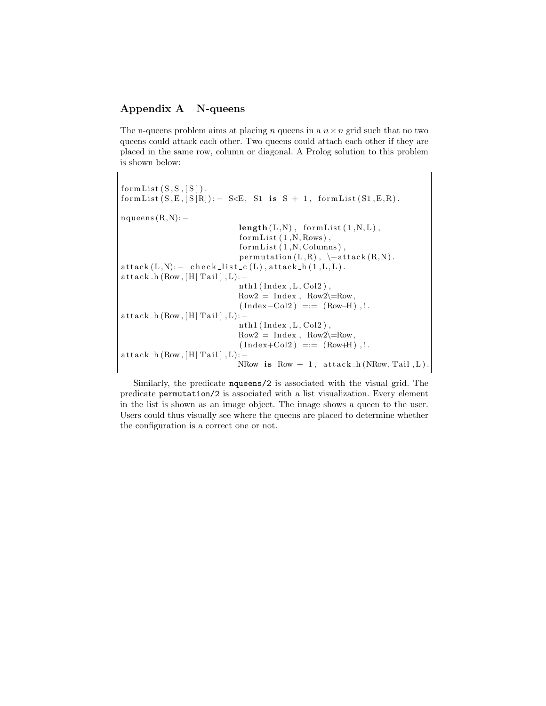## Appendix A N-queens

The n-queens problem aims at placing n queens in a  $n \times n$  grid such that no two queens could attack each other. Two queens could attach each other if they are placed in the same row, column or diagonal. A Prolog solution to this problem is shown below:

```
formList(S, S, [S]).
formList (S, E, [S | R]): - S\lt E, S1 is S + 1, formList (S1, E, R).
nqueens (R, N): −
                               length(L, N), formList(1, N, L),
                               formList(1,N,Rows),
                               formList(1,N, Columns),
                               permutation (L, R), \text{attack}(R, N).
{\rm attack (L, N):} - {\rm check\_list\_c (L), attack\_h (1, L, L)}.{\rm attack}\, h ({\rm Row}, [{\rm H} \,|\, {\rm Tail} \,]\,, L):−
                               nth1 (Index, L, Col2),
                               Row2 = Index, Row2\rangle = Row,(Index-Col2) \equiv (Row-H).!
{\rm attack}\,-h (Row, [H| Tail ], L):−
                               nth1 (Index, L, Col2),
                               Row2 = Index, Row2\rangle = Row,(Index+Col2) == (Row+H), !.
{\rm attack}\,h (Row, [H| Tail ], L):−
                               NRow is Row +1, attack -h(NRow, Tail, L).
```
Similarly, the predicate nqueens/2 is associated with the visual grid. The predicate permutation/2 is associated with a list visualization. Every element in the list is shown as an image object. The image shows a queen to the user. Users could thus visually see where the queens are placed to determine whether the configuration is a correct one or not.